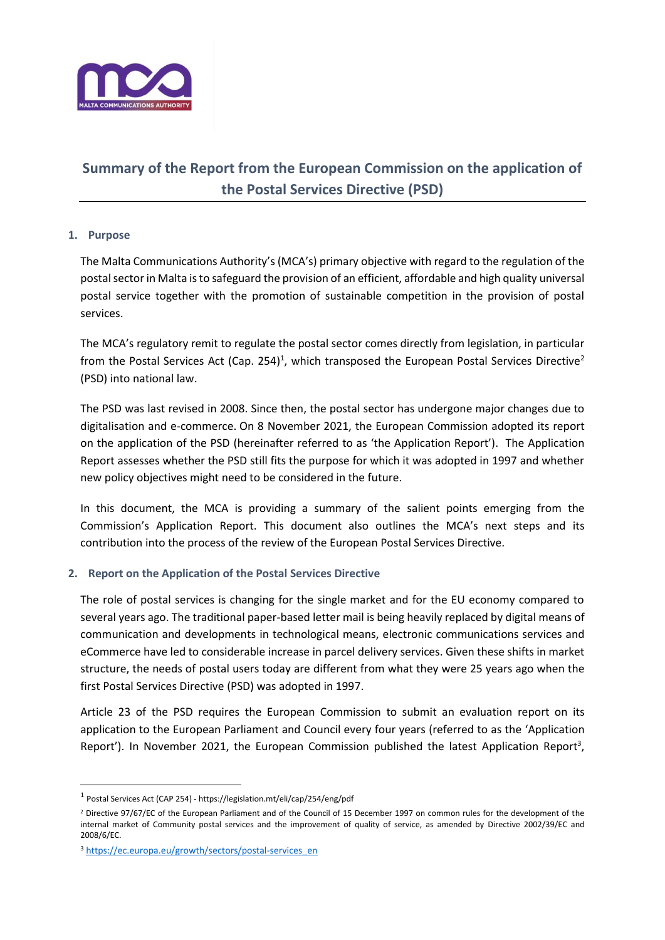

# **Summary of the Report from the European Commission on the application of the Postal Services Directive (PSD)**

## **1. Purpose**

 $\overline{a}$ 

The Malta Communications Authority's (MCA's) primary objective with regard to the regulation of the postal sector in Malta is to safeguard the provision of an efficient, affordable and high quality universal postal service together with the promotion of sustainable competition in the provision of postal services.

The MCA's regulatory remit to regulate the postal sector comes directly from legislation, in particular from the Postal Services Act (Cap. 254)<sup>1</sup>, which transposed the European Postal Services Directive<sup>2</sup> (PSD) into national law.

The PSD was last revised in 2008. Since then, the postal sector has undergone major changes due to digitalisation and e-commerce. On 8 November 2021, the European Commission adopted its report on the application of the PSD (hereinafter referred to as 'the Application Report'). The Application Report assesses whether the PSD still fits the purpose for which it was adopted in 1997 and whether new policy objectives might need to be considered in the future.

In this document, the MCA is providing a summary of the salient points emerging from the Commission's Application Report. This document also outlines the MCA's next steps and its contribution into the process of the review of the European Postal Services Directive.

## **2. Report on the Application of the Postal Services Directive**

The role of postal services is changing for the single market and for the EU economy compared to several years ago. The traditional paper-based letter mail is being heavily replaced by digital means of communication and developments in technological means, electronic communications services and eCommerce have led to considerable increase in parcel delivery services. Given these shifts in market structure, the needs of postal users today are different from what they were 25 years ago when the first Postal Services Directive (PSD) was adopted in 1997.

Article 23 of the PSD requires the European Commission to submit an evaluation report on its application to the European Parliament and Council every four years (referred to as the 'Application Report'). In November 2021, the European Commission published the latest Application Report<sup>3</sup>,

<sup>&</sup>lt;sup>1</sup> Postal Services Act (CAP 254) - https://legislation.mt/eli/cap/254/eng/pdf

<sup>&</sup>lt;sup>2</sup> Directive 97/67/EC of the European Parliament and of the Council of 15 December 1997 on common rules for the development of the internal market of Community postal services and the improvement of quality of service, as amended by Directive 2002/39/EC and 2008/6/EC.

<sup>&</sup>lt;sup>3</sup> [https://ec.europa.eu/growth/sectors/postal-services\\_en](https://ec.europa.eu/growth/sectors/postal-services_en)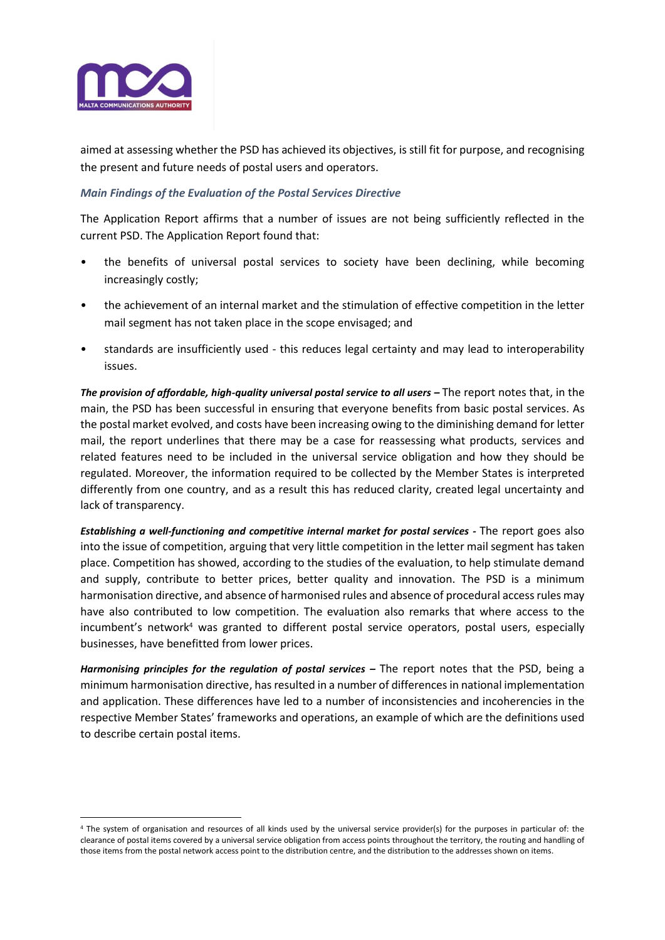

1

aimed at assessing whether the PSD has achieved its objectives, is still fit for purpose, and recognising the present and future needs of postal users and operators.

## *Main Findings of the Evaluation of the Postal Services Directive*

The Application Report affirms that a number of issues are not being sufficiently reflected in the current PSD. The Application Report found that:

- the benefits of universal postal services to society have been declining, while becoming increasingly costly;
- the achievement of an internal market and the stimulation of effective competition in the letter mail segment has not taken place in the scope envisaged; and
- standards are insufficiently used this reduces legal certainty and may lead to interoperability issues.

*The provision of affordable, high-quality universal postal service to all users – The report notes that, in the* main, the PSD has been successful in ensuring that everyone benefits from basic postal services. As the postal market evolved, and costs have been increasing owing to the diminishing demand for letter mail, the report underlines that there may be a case for reassessing what products, services and related features need to be included in the universal service obligation and how they should be regulated. Moreover, the information required to be collected by the Member States is interpreted differently from one country, and as a result this has reduced clarity, created legal uncertainty and lack of transparency.

*Establishing a well-functioning and competitive internal market for postal services -* The report goes also into the issue of competition, arguing that very little competition in the letter mail segment has taken place. Competition has showed, according to the studies of the evaluation, to help stimulate demand and supply, contribute to better prices, better quality and innovation. The PSD is a minimum harmonisation directive, and absence of harmonised rules and absence of procedural access rules may have also contributed to low competition. The evaluation also remarks that where access to the incumbent's network<sup>4</sup> was granted to different postal service operators, postal users, especially businesses, have benefitted from lower prices.

*Harmonising principles for the regulation of postal services –* The report notes that the PSD, being a minimum harmonisation directive, has resulted in a number of differences in national implementation and application. These differences have led to a number of inconsistencies and incoherencies in the respective Member States' frameworks and operations, an example of which are the definitions used to describe certain postal items.

<sup>4</sup> The system of organisation and resources of all kinds used by the universal service provider(s) for the purposes in particular of: the clearance of postal items covered by a universal service obligation from access points throughout the territory, the routing and handling of those items from the postal network access point to the distribution centre, and the distribution to the addresses shown on items.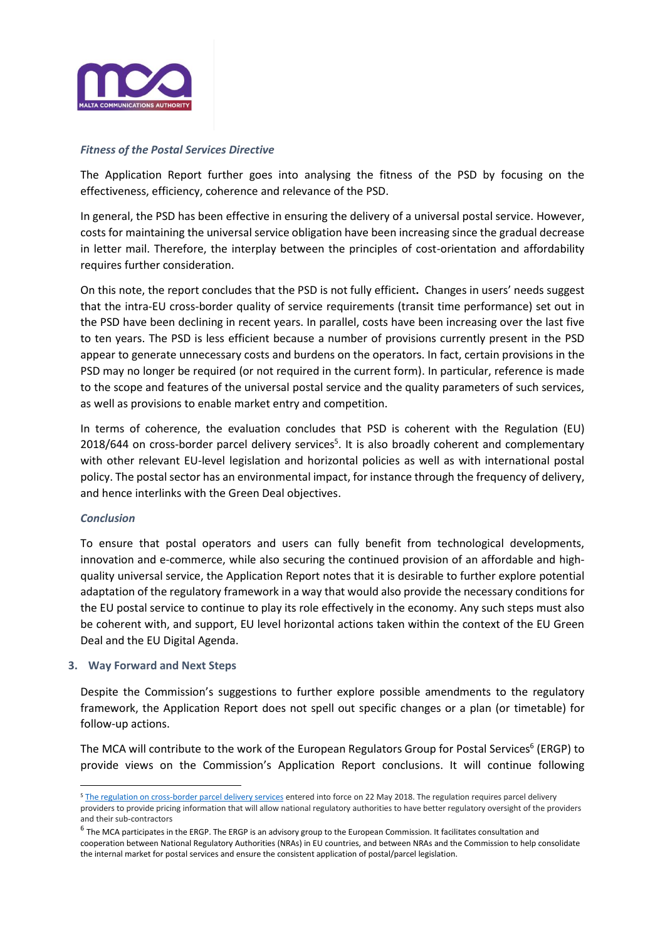

#### *Fitness of the Postal Services Directive*

The Application Report further goes into analysing the fitness of the PSD by focusing on the effectiveness, efficiency, coherence and relevance of the PSD.

In general, the PSD has been effective in ensuring the delivery of a universal postal service. However, costs for maintaining the universal service obligation have been increasing since the gradual decrease in letter mail. Therefore, the interplay between the principles of cost-orientation and affordability requires further consideration.

On this note, the report concludes that the PSD is not fully efficient**.** Changes in users' needs suggest that the intra-EU cross-border quality of service requirements (transit time performance) set out in the PSD have been declining in recent years. In parallel, costs have been increasing over the last five to ten years. The PSD is less efficient because a number of provisions currently present in the PSD appear to generate unnecessary costs and burdens on the operators. In fact, certain provisions in the PSD may no longer be required (or not required in the current form). In particular, reference is made to the scope and features of the universal postal service and the quality parameters of such services, as well as provisions to enable market entry and competition.

In terms of coherence, the evaluation concludes that PSD is coherent with the Regulation (EU) 2018/644 on cross-border parcel delivery services<sup>5</sup>. It is also broadly coherent and complementary with other relevant EU-level legislation and horizontal policies as well as with international postal policy. The postal sector has an environmental impact, for instance through the frequency of delivery, and hence interlinks with the Green Deal objectives.

#### *Conclusion*

 $\overline{a}$ 

To ensure that postal operators and users can fully benefit from technological developments, innovation and e-commerce, while also securing the continued provision of an affordable and highquality universal service, the Application Report notes that it is desirable to further explore potential adaptation of the regulatory framework in a way that would also provide the necessary conditions for the EU postal service to continue to play its role effectively in the economy. Any such steps must also be coherent with, and support, EU level horizontal actions taken within the context of the EU Green Deal and the EU Digital Agenda.

#### **3. Way Forward and Next Steps**

Despite the Commission's suggestions to further explore possible amendments to the regulatory framework, the Application Report does not spell out specific changes or a plan (or timetable) for follow-up actions.

The MCA will contribute to the work of the European Regulators Group for Postal Services<sup>6</sup> (ERGP) to provide views on the Commission's Application Report conclusions. It will continue following

<sup>&</sup>lt;sup>5</sup> [The regulation on cross-border parcel delivery services](https://eur-lex.europa.eu/legal-content/EN/TXT/PDF/?uri=CELEX:32018R0644&from=EN) entered into force on 22 May 2018. The regulation requires parcel delivery providers to provide pricing information that will allow national regulatory authorities to have better regulatory oversight of the providers and their sub-contractors

 $^6$  The MCA participates in the ERGP. The ERGP is an advisory group to the European Commission. It facilitates consultation and cooperation between National Regulatory Authorities (NRAs) in EU countries, and between NRAs and the Commission to help consolidate the internal market for postal services and ensure the consistent application of postal/parcel legislation.